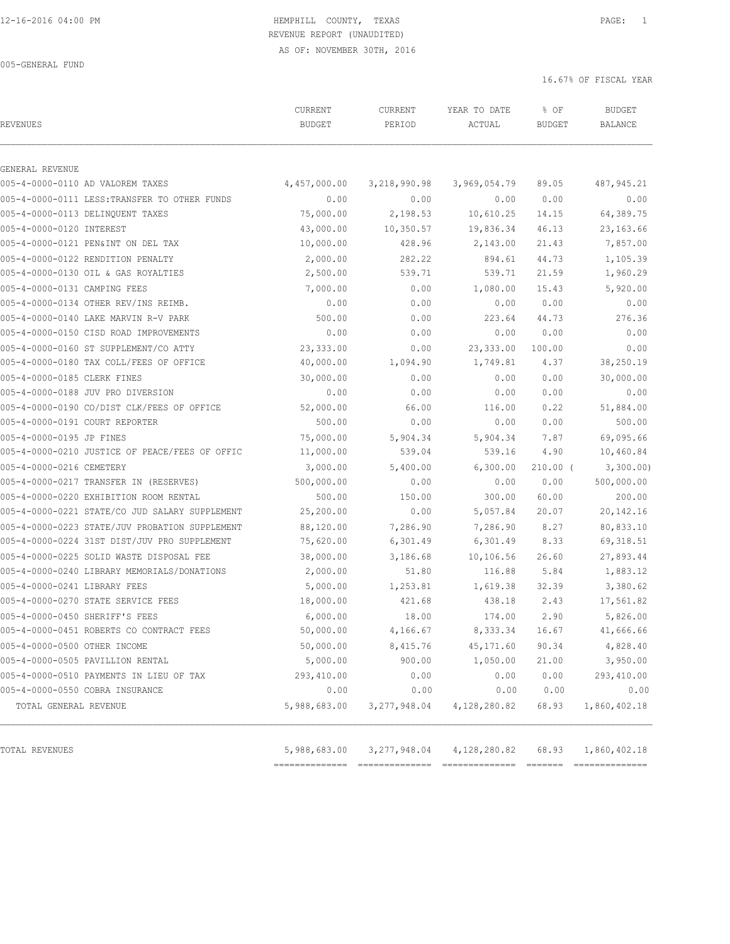# 12-16-2016 04:00 PM HEMPHILL COUNTY, TEXAS PAGE: 1 REVENUE REPORT (UNAUDITED)

AS OF: NOVEMBER 30TH, 2016

16.67% OF FISCAL YEAR

| <b>REVENUES</b>                       |                                                | CURRENT<br><b>BUDGET</b> | CURRENT<br>PERIOD | YEAR TO DATE<br>ACTUAL | % OF<br><b>BUDGET</b> | <b>BUDGET</b><br>BALANCE |
|---------------------------------------|------------------------------------------------|--------------------------|-------------------|------------------------|-----------------------|--------------------------|
| GENERAL REVENUE                       |                                                |                          |                   |                        |                       |                          |
| 005-4-0000-0110 AD VALOREM TAXES      |                                                | 4,457,000.00             | 3, 218, 990.98    | 3,969,054.79           | 89.05                 | 487, 945.21              |
|                                       | 005-4-0000-0111 LESS: TRANSFER TO OTHER FUNDS  | 0.00                     | 0.00              | 0.00                   | 0.00                  | 0.00                     |
| 005-4-0000-0113 DELINQUENT TAXES      |                                                | 75,000.00                | 2,198.53          | 10,610.25              | 14.15                 | 64,389.75                |
| 005-4-0000-0120 INTEREST              |                                                | 43,000.00                | 10,350.57         | 19,836.34              | 46.13                 | 23, 163.66               |
| 005-4-0000-0121 PEN&INT ON DEL TAX    |                                                | 10,000.00                | 428.96            | 2,143.00               | 21.43                 | 7,857.00                 |
| 005-4-0000-0122 RENDITION PENALTY     |                                                | 2,000.00                 | 282.22            | 894.61                 | 44.73                 | 1,105.39                 |
| 005-4-0000-0130 OIL & GAS ROYALTIES   |                                                | 2,500.00                 | 539.71            | 539.71                 | 21.59                 | 1,960.29                 |
| 005-4-0000-0131 CAMPING FEES          |                                                | 7,000.00                 | 0.00              | 1,080.00               | 15.43                 | 5,920.00                 |
| 005-4-0000-0134 OTHER REV/INS REIMB.  |                                                | 0.00                     | 0.00              | 0.00                   | 0.00                  | 0.00                     |
| 005-4-0000-0140 LAKE MARVIN R-V PARK  |                                                | 500.00                   | 0.00              | 223.64                 | 44.73                 | 276.36                   |
|                                       | 005-4-0000-0150 CISD ROAD IMPROVEMENTS         | 0.00                     | 0.00              | 0.00                   | 0.00                  | 0.00                     |
| 005-4-0000-0160 ST SUPPLEMENT/CO ATTY |                                                | 23,333.00                | 0.00              | 23, 333.00             | 100.00                | 0.00                     |
|                                       | 005-4-0000-0180 TAX COLL/FEES OF OFFICE        | 40,000.00                | 1,094.90          | 1,749.81               | 4.37                  | 38,250.19                |
| 005-4-0000-0185 CLERK FINES           |                                                | 30,000.00                | 0.00              | 0.00                   | 0.00                  | 30,000.00                |
| 005-4-0000-0188 JUV PRO DIVERSION     |                                                | 0.00                     | 0.00              | 0.00                   | 0.00                  | 0.00                     |
|                                       | 005-4-0000-0190 CO/DIST CLK/FEES OF OFFICE     | 52,000.00                | 66.00             | 116.00                 | 0.22                  | 51,884.00                |
| 005-4-0000-0191 COURT REPORTER        |                                                | 500.00                   | 0.00              | 0.00                   | 0.00                  | 500.00                   |
| 005-4-0000-0195 JP FINES              |                                                | 75,000.00                | 5,904.34          | 5,904.34               | 7.87                  | 69,095.66                |
|                                       | 005-4-0000-0210 JUSTICE OF PEACE/FEES OF OFFIC | 11,000.00                | 539.04            | 539.16                 | 4.90                  | 10,460.84                |
| 005-4-0000-0216 CEMETERY              |                                                | 3,000.00                 | 5,400.00          | 6,300.00               | $210.00$ (            | 3,300.00                 |
|                                       | 005-4-0000-0217 TRANSFER IN (RESERVES)         | 500,000.00               | 0.00              | 0.00                   | 0.00                  | 500,000.00               |
|                                       | 005-4-0000-0220 EXHIBITION ROOM RENTAL         | 500.00                   | 150.00            | 300.00                 | 60.00                 | 200.00                   |
|                                       | 005-4-0000-0221 STATE/CO JUD SALARY SUPPLEMENT | 25,200.00                | 0.00              | 5,057.84               | 20.07                 | 20,142.16                |
|                                       | 005-4-0000-0223 STATE/JUV PROBATION SUPPLEMENT | 88,120.00                | 7,286.90          | 7,286.90               | 8.27                  | 80,833.10                |
|                                       | 005-4-0000-0224 31ST DIST/JUV PRO SUPPLEMENT   | 75,620.00                | 6,301.49          | 6,301.49               | 8.33                  | 69, 318.51               |
|                                       | 005-4-0000-0225 SOLID WASTE DISPOSAL FEE       | 38,000.00                | 3,186.68          | 10,106.56              | 26.60                 | 27,893.44                |
|                                       | 005-4-0000-0240 LIBRARY MEMORIALS/DONATIONS    | 2,000.00                 | 51.80             | 116.88                 | 5.84                  | 1,883.12                 |
| 005-4-0000-0241 LIBRARY FEES          |                                                | 5,000.00                 | 1,253.81          | 1,619.38               | 32.39                 | 3,380.62                 |
| 005-4-0000-0270 STATE SERVICE FEES    |                                                | 18,000.00                | 421.68            | 438.18                 | 2.43                  | 17,561.82                |
| 005-4-0000-0450 SHERIFF'S FEES        |                                                | 6,000.00                 | 18.00             | 174.00                 | 2.90                  | 5,826.00                 |
|                                       | 005-4-0000-0451 ROBERTS CO CONTRACT FEES       | 50,000.00                | 4,166.67          | 8, 333.34              | 16.67                 | 41,666.66                |
| 005-4-0000-0500 OTHER INCOME          |                                                | 50,000.00                | 8,415.76          | 45, 171.60             | 90.34                 | 4,828.40                 |
| 005-4-0000-0505 PAVILLION RENTAL      |                                                | 5,000.00                 | 900.00            | 1,050.00               | 21.00                 | 3,950.00                 |
|                                       | 005-4-0000-0510 PAYMENTS IN LIEU OF TAX        | 293,410.00               | 0.00              | 0.00                   | 0.00                  | 293,410.00               |
| 005-4-0000-0550 COBRA INSURANCE       |                                                | 0.00                     | 0.00              | 0.00                   | 0.00                  | 0.00                     |
| TOTAL GENERAL REVENUE                 |                                                | 5,988,683.00             | 3, 277, 948.04    | 4,128,280.82           | 68.93                 | 1,860,402.18             |
|                                       |                                                |                          |                   |                        |                       |                          |
| TOTAL REVENUES                        |                                                | 5,988,683.00             | 3,277,948.04      | 4,128,280.82           | 68.93                 | 1,860,402.18             |

============== ============== ============== ======= ==============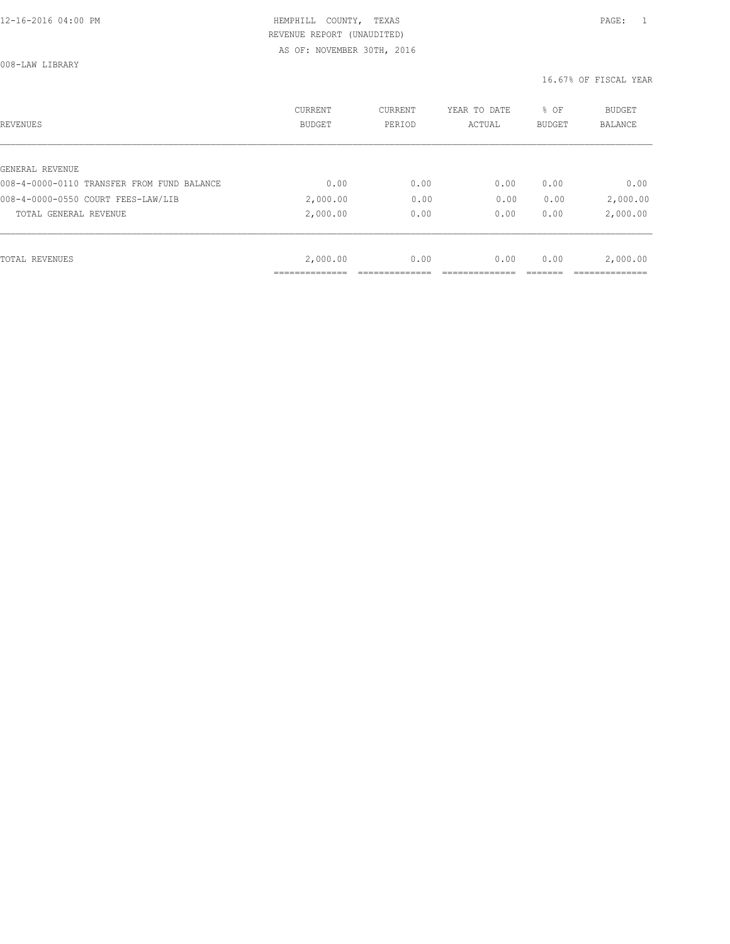008-LAW LIBRARY

| REVENUES                                   | <b>CURRENT</b><br><b>BUDGET</b> | CURRENT<br>PERIOD | YEAR TO DATE<br>ACTUAL | % OF<br>BUDGET | BUDGET<br><b>BALANCE</b> |
|--------------------------------------------|---------------------------------|-------------------|------------------------|----------------|--------------------------|
|                                            |                                 |                   |                        |                |                          |
| GENERAL REVENUE                            |                                 |                   |                        |                |                          |
| 008-4-0000-0110 TRANSFER FROM FUND BALANCE | 0.00                            | 0.00              | 0.00                   | 0.00           | 0.00                     |
| 008-4-0000-0550 COURT FEES-LAW/LIB         | 2,000.00                        | 0.00              | 0.00                   | 0.00           | 2,000.00                 |
| TOTAL GENERAL REVENUE                      | 2,000.00                        | 0.00              | 0.00                   | 0.00           | 2,000.00                 |
|                                            |                                 |                   |                        |                |                          |
| TOTAL REVENUES                             | 2,000.00                        | 0.00              | 0.00                   | 0.00           | 2,000.00                 |
|                                            |                                 |                   |                        |                |                          |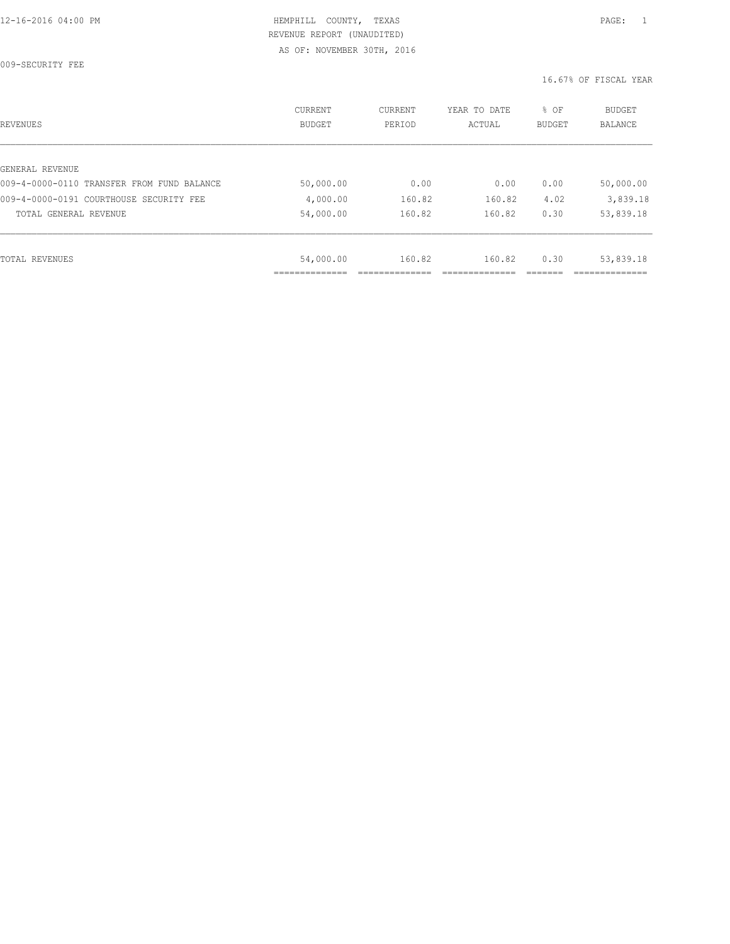009-SECURITY FEE

| REVENUES                                   | CURRENT<br><b>BUDGET</b> | CURRENT<br>PERIOD | YEAR TO DATE<br>ACTUAL | % OF<br>BUDGET | <b>BUDGET</b><br>BALANCE |
|--------------------------------------------|--------------------------|-------------------|------------------------|----------------|--------------------------|
|                                            |                          |                   |                        |                |                          |
| GENERAL REVENUE                            |                          |                   |                        |                |                          |
| 009-4-0000-0110 TRANSFER FROM FUND BALANCE | 50,000.00                | 0.00              | 0.00                   | 0.00           | 50,000.00                |
| 009-4-0000-0191 COURTHOUSE SECURITY FEE    | 4,000.00                 | 160.82            | 160.82                 | 4.02           | 3,839.18                 |
| TOTAL GENERAL REVENUE                      | 54,000.00                | 160.82            | 160.82                 | 0.30           | 53,839.18                |
|                                            |                          |                   |                        |                |                          |
| TOTAL REVENUES                             | 54,000.00                | 160.82            | 160.82                 | 0.30           | 53,839.18                |
|                                            |                          |                   |                        |                |                          |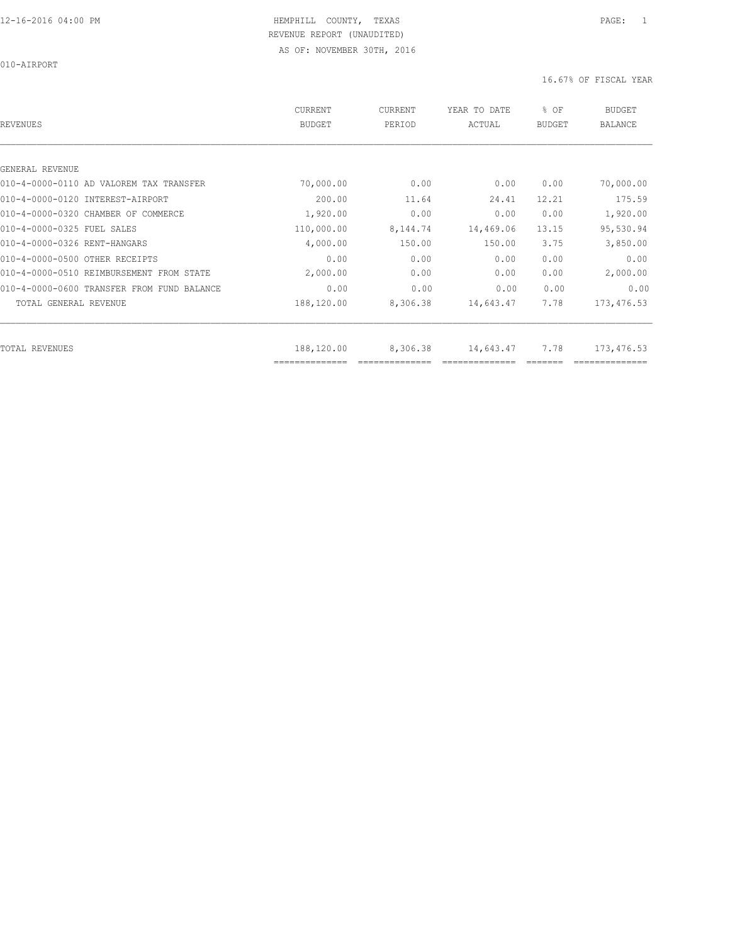010-AIRPORT

| <b>REVENUES</b>                            | <b>CURRENT</b><br><b>BUDGET</b> | CURRENT<br>PERIOD | YEAR TO DATE<br>ACTUAL | % OF<br><b>BUDGET</b> | <b>BUDGET</b><br><b>BALANCE</b> |
|--------------------------------------------|---------------------------------|-------------------|------------------------|-----------------------|---------------------------------|
|                                            |                                 |                   |                        |                       |                                 |
| GENERAL REVENUE                            |                                 |                   |                        |                       |                                 |
| 010-4-0000-0110 AD VALOREM TAX TRANSFER    | 70,000.00                       | 0.00              | 0.00                   | 0.00                  | 70,000.00                       |
| 010-4-0000-0120 INTEREST-AIRPORT           | 200.00                          | 11.64             | 24.41                  | 12.21                 | 175.59                          |
| 010-4-0000-0320 CHAMBER OF COMMERCE        | 1,920.00                        | 0.00              | 0.00                   | 0.00                  | 1,920.00                        |
| 010-4-0000-0325 FUEL SALES                 | 110,000.00                      | 8,144.74          | 14,469.06              | 13.15                 | 95,530.94                       |
| 010-4-0000-0326 RENT-HANGARS               | 4,000.00                        | 150.00            | 150.00                 | 3.75                  | 3,850.00                        |
| 010-4-0000-0500 OTHER RECEIPTS             | 0.00                            | 0.00              | 0.00                   | 0.00                  | 0.00                            |
| 010-4-0000-0510 REIMBURSEMENT FROM STATE   | 2,000.00                        | 0.00              | 0.00                   | 0.00                  | 2,000.00                        |
| 010-4-0000-0600 TRANSFER FROM FUND BALANCE | 0.00                            | 0.00              | 0.00                   | 0.00                  | 0.00                            |
| TOTAL GENERAL REVENUE                      | 188,120.00                      | 8,306.38          | 14,643.47              | 7.78                  | 173, 476.53                     |
| <b>TOTAL REVENUES</b>                      | 188,120.00                      | 8,306.38          | 14,643.47              | 7.78                  | 173,476.53                      |
|                                            | ==============                  |                   |                        |                       |                                 |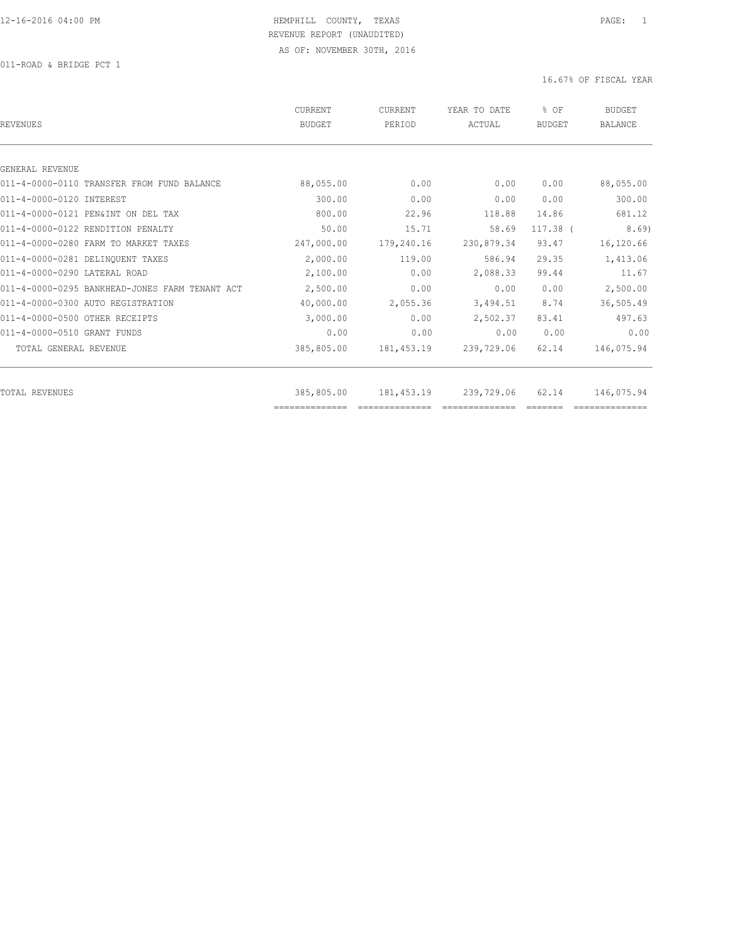011-ROAD & BRIDGE PCT 1

| REVENUES                                       | CURRENT<br><b>BUDGET</b> | CURRENT<br>PERIOD | YEAR TO DATE<br>ACTUAL | % OF<br>BUDGET | <b>BUDGET</b><br><b>BALANCE</b> |
|------------------------------------------------|--------------------------|-------------------|------------------------|----------------|---------------------------------|
|                                                |                          |                   |                        |                |                                 |
| GENERAL REVENUE                                |                          |                   |                        |                |                                 |
| 011-4-0000-0110 TRANSFER FROM FUND BALANCE     | 88,055.00                | 0.00              | 0.00                   | 0.00           | 88,055.00                       |
| 011-4-0000-0120 INTEREST                       | 300.00                   | 0.00              | 0.00                   | 0.00           | 300.00                          |
| 011-4-0000-0121 PEN&INT ON DEL TAX             | 800.00                   | 22.96             | 118.88                 | 14.86          | 681.12                          |
| 011-4-0000-0122 RENDITION PENALTY              | 50.00                    | 15.71             | 58.69                  | $117.38$ $($   | 8.69                            |
| 011-4-0000-0280 FARM TO MARKET TAXES           | 247,000.00               | 179,240.16        | 230,879.34             | 93.47          | 16,120.66                       |
| 011-4-0000-0281 DELINQUENT TAXES               | 2,000.00                 | 119.00            | 586.94                 | 29.35          | 1,413.06                        |
| 011-4-0000-0290 LATERAL ROAD                   | 2,100.00                 | 0.00              | 2,088.33               | 99.44          | 11.67                           |
| 011-4-0000-0295 BANKHEAD-JONES FARM TENANT ACT | 2,500.00                 | 0.00              | 0.00                   | 0.00           | 2,500.00                        |
| 011-4-0000-0300 AUTO REGISTRATION              | 40,000.00                | 2,055.36          | 3,494.51               | 8.74           | 36,505.49                       |
| 011-4-0000-0500 OTHER RECEIPTS                 | 3,000.00                 | 0.00              | 2,502.37               | 83.41          | 497.63                          |
| 011-4-0000-0510 GRANT FUNDS                    | 0.00                     | 0.00              | 0.00                   | 0.00           | 0.00                            |
| TOTAL GENERAL REVENUE                          | 385,805.00               | 181, 453.19       | 239,729.06             | 62.14          | 146,075.94                      |
|                                                |                          |                   |                        |                |                                 |
| TOTAL REVENUES                                 | 385,805.00               | 181, 453.19       | 239,729.06             | 62.14          | 146,075.94                      |
|                                                | ==============           |                   |                        |                |                                 |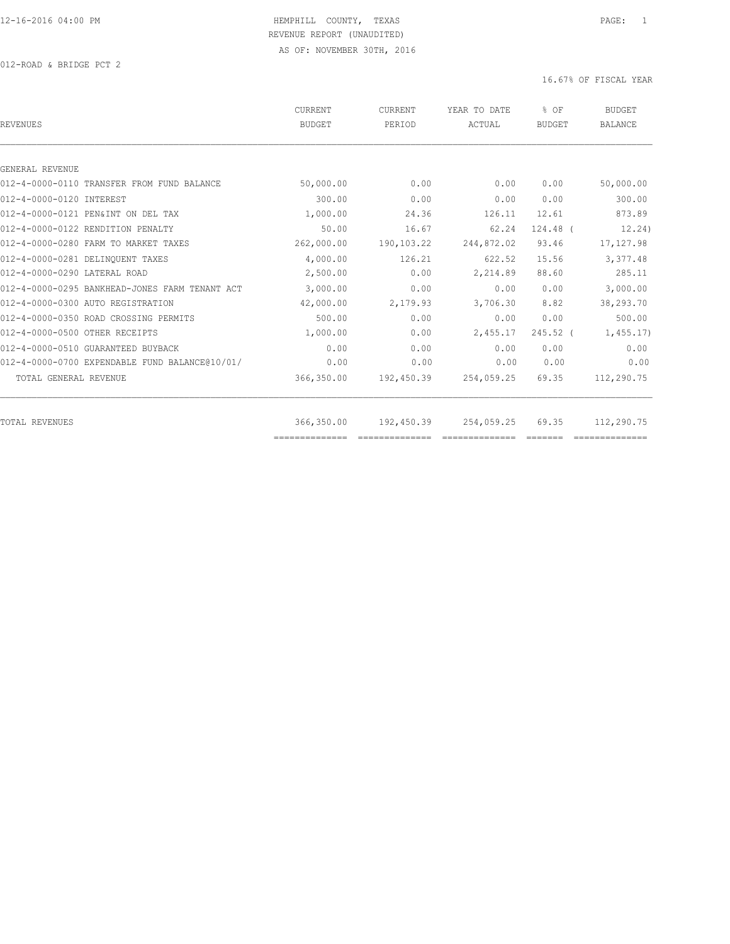012-ROAD & BRIDGE PCT 2

| CURRENT<br><b>BUDGET</b> | <b>CURRENT</b><br>PERIOD | YEAR TO DATE<br>ACTUAL | % OF<br><b>BUDGET</b>    | <b>BUDGET</b><br><b>BALANCE</b> |
|--------------------------|--------------------------|------------------------|--------------------------|---------------------------------|
|                          |                          |                        |                          |                                 |
|                          |                          |                        |                          |                                 |
| 50,000.00                | 0.00                     | 0.00                   | 0.00                     | 50,000.00                       |
| 300.00                   | 0.00                     | 0.00                   | 0.00                     | 300.00                          |
| 1,000.00                 | 24.36                    | 126.11                 | 12.61                    | 873.89                          |
| 50.00                    | 16.67                    | 62.24                  | 124.48 (                 | 12.24)                          |
| 262,000.00               | 190,103.22               | 244,872.02             | 93.46                    | 17, 127.98                      |
| 4,000.00                 | 126.21                   | 622.52                 | 15.56                    | 3,377.48                        |
| 2,500.00                 | 0.00                     | 2,214.89               | 88.60                    | 285.11                          |
| 3,000.00                 | 0.00                     | 0.00                   | 0.00                     | 3,000.00                        |
| 42,000.00                | 2,179.93                 | 3,706.30               | 8.82                     | 38,293.70                       |
| 500.00                   | 0.00                     | 0.00                   | 0.00                     | 500.00                          |
| 1,000.00                 | 0.00                     | 2,455.17               | $245.52$ (               | 1,455.17                        |
| 0.00                     | 0.00                     | 0.00                   | 0.00                     | 0.00                            |
| 0.00                     | 0.00                     | 0.00                   | 0.00                     | 0.00                            |
| 366,350.00               | 192,450.39               | 254,059.25             | 69.35                    | 112,290.75                      |
|                          |                          |                        |                          | 112,290.75                      |
|                          | 366,350.00               |                        | 192,450.39<br>254,059.25 | 69.35                           |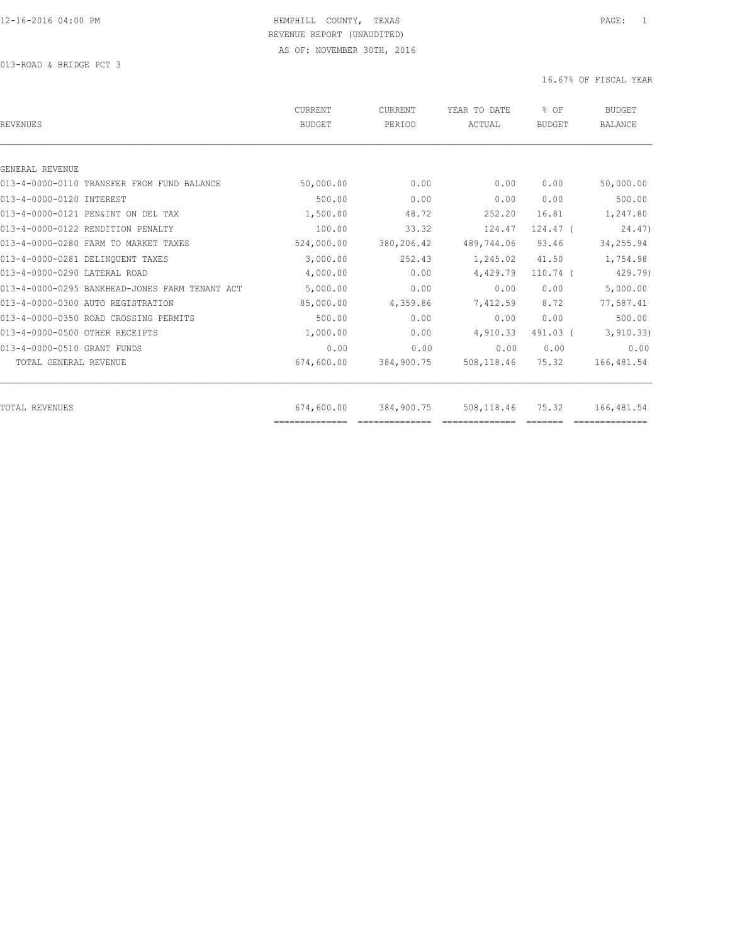013-ROAD & BRIDGE PCT 3

| <b>REVENUES</b>                                | CURRENT<br><b>BUDGET</b>     | <b>CURRENT</b><br>PERIOD | YEAR TO DATE<br>ACTUAL | % OF<br><b>BUDGET</b> | <b>BUDGET</b><br><b>BALANCE</b> |
|------------------------------------------------|------------------------------|--------------------------|------------------------|-----------------------|---------------------------------|
|                                                |                              |                          |                        |                       |                                 |
| GENERAL REVENUE                                |                              |                          |                        |                       |                                 |
| 013-4-0000-0110 TRANSFER FROM FUND BALANCE     | 50,000.00                    | 0.00                     | 0.00                   | 0.00                  | 50,000.00                       |
| 013-4-0000-0120 INTEREST                       | 500.00                       | 0.00                     | 0.00                   | 0.00                  | 500.00                          |
| 013-4-0000-0121 PEN&INT ON DEL TAX             | 1,500.00                     | 48.72                    | 252.20                 | 16.81                 | 1,247.80                        |
| 013-4-0000-0122 RENDITION PENALTY              | 100.00                       | 33.32                    | 124.47                 | $124.47$ (            | 24.47                           |
| 013-4-0000-0280 FARM TO MARKET TAXES           | 524,000.00                   | 380,206.42               | 489,744.06             | 93.46                 | 34,255.94                       |
| 013-4-0000-0281 DELINQUENT TAXES               | 3,000.00                     | 252.43                   | 1,245.02               | 41.50                 | 1,754.98                        |
| 013-4-0000-0290 LATERAL ROAD                   | 4,000.00                     | 0.00                     | 4,429.79               | $110.74$ (            | 429.79)                         |
| 013-4-0000-0295 BANKHEAD-JONES FARM TENANT ACT | 5,000.00                     | 0.00                     | 0.00                   | 0.00                  | 5,000.00                        |
| 013-4-0000-0300 AUTO REGISTRATION              | 85,000.00                    | 4,359.86                 | 7,412.59               | 8.72                  | 77,587.41                       |
| 013-4-0000-0350 ROAD CROSSING PERMITS          | 500.00                       | 0.00                     | 0.00                   | 0.00                  | 500.00                          |
| 013-4-0000-0500 OTHER RECEIPTS                 | 1,000.00                     | 0.00                     | 4,910.33               | 491.03 (              | 3, 910.33)                      |
| 013-4-0000-0510 GRANT FUNDS                    | 0.00                         | 0.00                     | 0.00                   | 0.00                  | 0.00                            |
| TOTAL GENERAL REVENUE                          | 674,600.00                   | 384,900.75               | 508,118.46             | 75.32                 | 166, 481.54                     |
|                                                |                              |                          |                        |                       |                                 |
| TOTAL REVENUES                                 | 674,600.00<br>============== | 384,900.75               | 508,118.46             | 75.32                 | 166,481.54                      |
|                                                |                              |                          |                        |                       |                                 |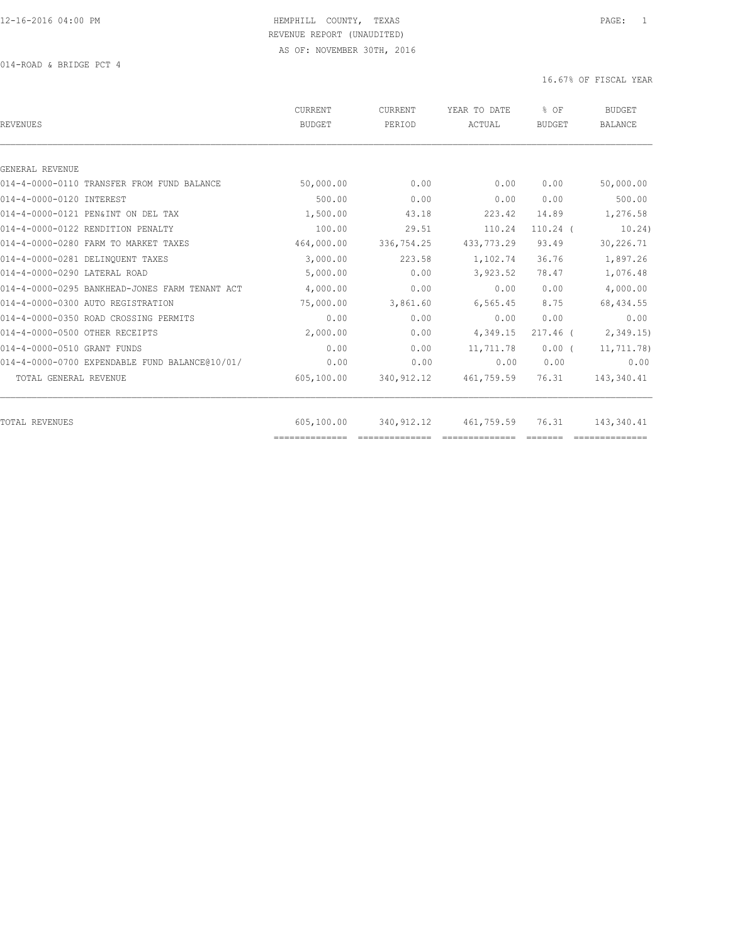014-ROAD & BRIDGE PCT 4

| 0.00<br>0.00<br>223.42<br>110.24<br>433, 773.29<br>1,102.74<br>3,923.52<br>0.00 | 0.00<br>0.00<br>14.89<br>$110.24$ (<br>93.49<br>36.76<br>78.47<br>0.00 | 50,000.00<br>500.00<br>1,276.58<br>10.24)<br>30,226.71<br>1,897.26<br>1,076.48<br>4,000.00 |
|---------------------------------------------------------------------------------|------------------------------------------------------------------------|--------------------------------------------------------------------------------------------|
|                                                                                 |                                                                        |                                                                                            |
|                                                                                 |                                                                        |                                                                                            |
|                                                                                 |                                                                        |                                                                                            |
|                                                                                 |                                                                        |                                                                                            |
|                                                                                 |                                                                        |                                                                                            |
|                                                                                 |                                                                        |                                                                                            |
|                                                                                 |                                                                        |                                                                                            |
|                                                                                 |                                                                        |                                                                                            |
|                                                                                 |                                                                        |                                                                                            |
|                                                                                 |                                                                        |                                                                                            |
| 6,565.45                                                                        | 8.75                                                                   | 68, 434.55                                                                                 |
| 0.00                                                                            | 0.00                                                                   | 0.00                                                                                       |
| 4,349.15                                                                        | $217.46$ (                                                             | 2,349.15                                                                                   |
| 11,711.78                                                                       | $0.00$ (                                                               | 11,711.78)                                                                                 |
| 0.00                                                                            | 0.00                                                                   | 0.00                                                                                       |
| 461,759.59                                                                      | 76.31                                                                  | 143,340.41                                                                                 |
|                                                                                 |                                                                        | 143,340.41                                                                                 |
|                                                                                 |                                                                        | 76.31<br>461,759.59                                                                        |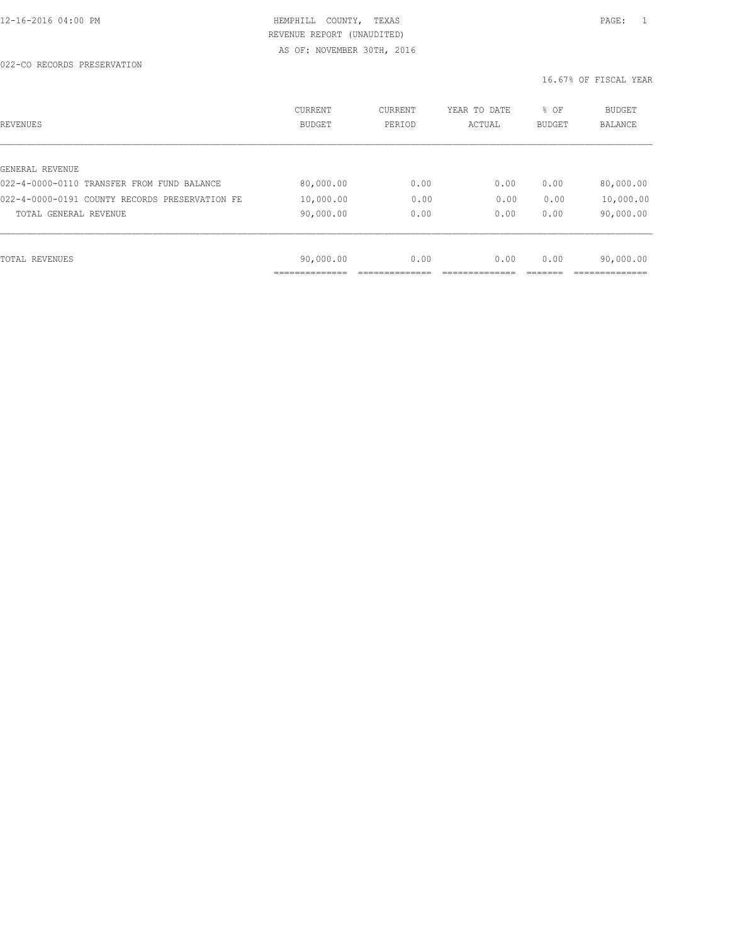#### 022-CO RECORDS PRESERVATION

| REVENUES                                       | CURRENT<br><b>BUDGET</b> | CURRENT<br>PERIOD | YEAR TO DATE<br>ACTUAL | % OF<br>BUDGET | <b>BUDGET</b><br><b>BALANCE</b> |
|------------------------------------------------|--------------------------|-------------------|------------------------|----------------|---------------------------------|
|                                                |                          |                   |                        |                |                                 |
| GENERAL REVENUE                                |                          |                   |                        |                |                                 |
| 022-4-0000-0110 TRANSFER FROM FUND BALANCE     | 80,000.00                | 0.00              | 0.00                   | 0.00           | 80,000.00                       |
| 022-4-0000-0191 COUNTY RECORDS PRESERVATION FE | 10,000.00                | 0.00              | 0.00                   | 0.00           | 10,000.00                       |
| TOTAL GENERAL REVENUE                          | 90,000.00                | 0.00              | 0.00                   | 0.00           | 90,000.00                       |
|                                                |                          |                   |                        |                |                                 |
|                                                |                          |                   |                        |                |                                 |
| TOTAL REVENUES                                 | 90,000.00                | 0.00              | 0.00                   | 0.00           | 90,000.00                       |
|                                                |                          |                   |                        |                |                                 |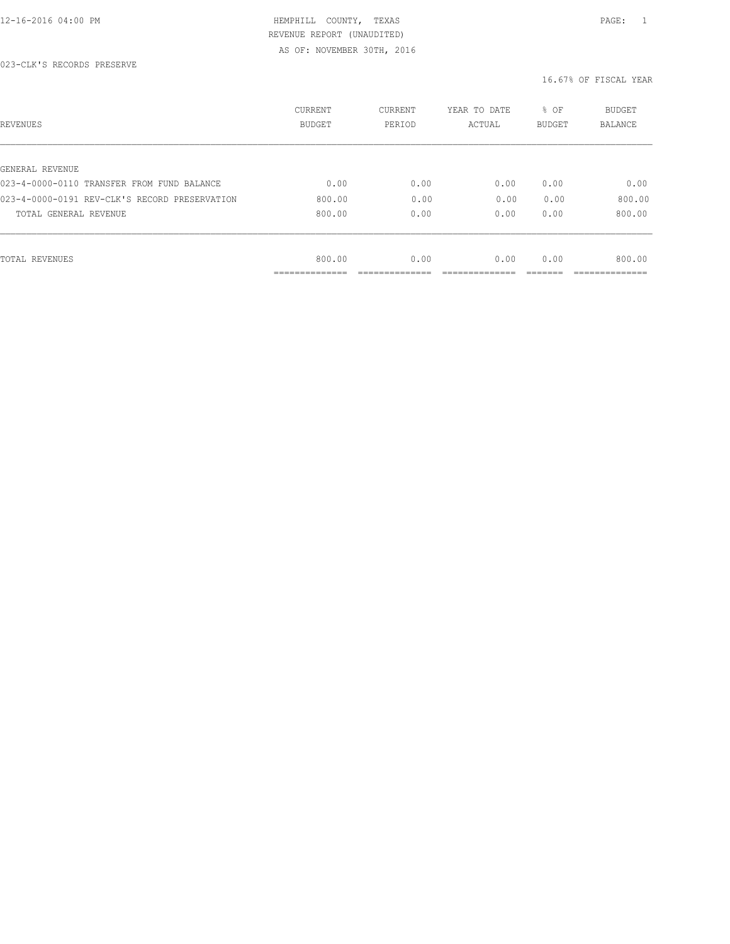| REVENUES                                      | <b>CURRENT</b><br><b>BUDGET</b> | CURRENT<br>PERIOD | YEAR TO DATE<br>ACTUAL | % OF<br>BUDGET | BUDGET<br><b>BALANCE</b> |
|-----------------------------------------------|---------------------------------|-------------------|------------------------|----------------|--------------------------|
|                                               |                                 |                   |                        |                |                          |
| GENERAL REVENUE                               |                                 |                   |                        |                |                          |
| 023-4-0000-0110 TRANSFER FROM FUND BALANCE    | 0.00                            | 0.00              | 0.00                   | 0.00           | 0.00                     |
| 023-4-0000-0191 REV-CLK'S RECORD PRESERVATION | 800.00                          | 0.00              | 0.00                   | 0.00           | 800.00                   |
| TOTAL GENERAL REVENUE                         | 800.00                          | 0.00              | 0.00                   | 0.00           | 800.00                   |
|                                               |                                 |                   |                        |                |                          |
| TOTAL REVENUES                                | 800.00                          | 0.00              | 0.00                   | 0.00           | 800.00                   |
|                                               | ----------                      |                   |                        |                |                          |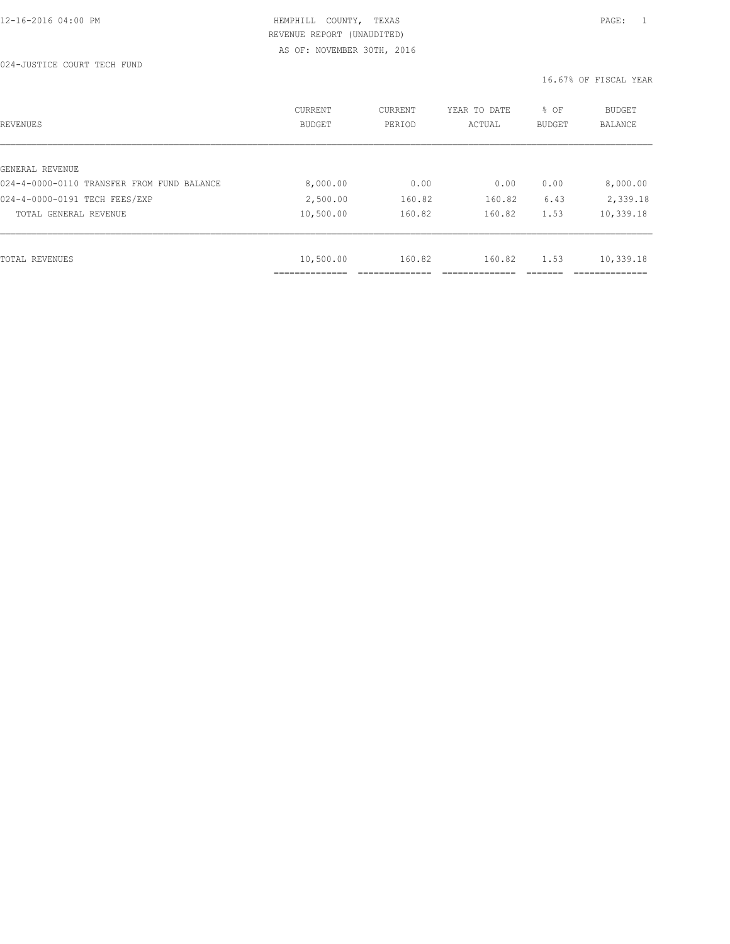024-JUSTICE COURT TECH FUND

| REVENUES                                   | <b>CURRENT</b><br><b>BUDGET</b> | CURRENT<br>PERIOD | YEAR TO DATE<br>ACTUAL | % OF<br>BUDGET | BUDGET<br><b>BALANCE</b> |
|--------------------------------------------|---------------------------------|-------------------|------------------------|----------------|--------------------------|
|                                            |                                 |                   |                        |                |                          |
| GENERAL REVENUE                            |                                 |                   |                        |                |                          |
| 024-4-0000-0110 TRANSFER FROM FUND BALANCE | 8,000.00                        | 0.00              | 0.00                   | 0.00           | 8,000.00                 |
| 024-4-0000-0191 TECH FEES/EXP              | 2,500.00                        | 160.82            | 160.82                 | 6.43           | 2,339.18                 |
| TOTAL GENERAL REVENUE                      | 10,500.00                       | 160.82            | 160.82                 | 1.53           | 10,339.18                |
|                                            |                                 |                   |                        |                |                          |
| TOTAL REVENUES                             | 10,500.00                       | 160.82            | 160.82                 | 1.53           | 10,339.18                |
|                                            | -----------                     |                   |                        |                |                          |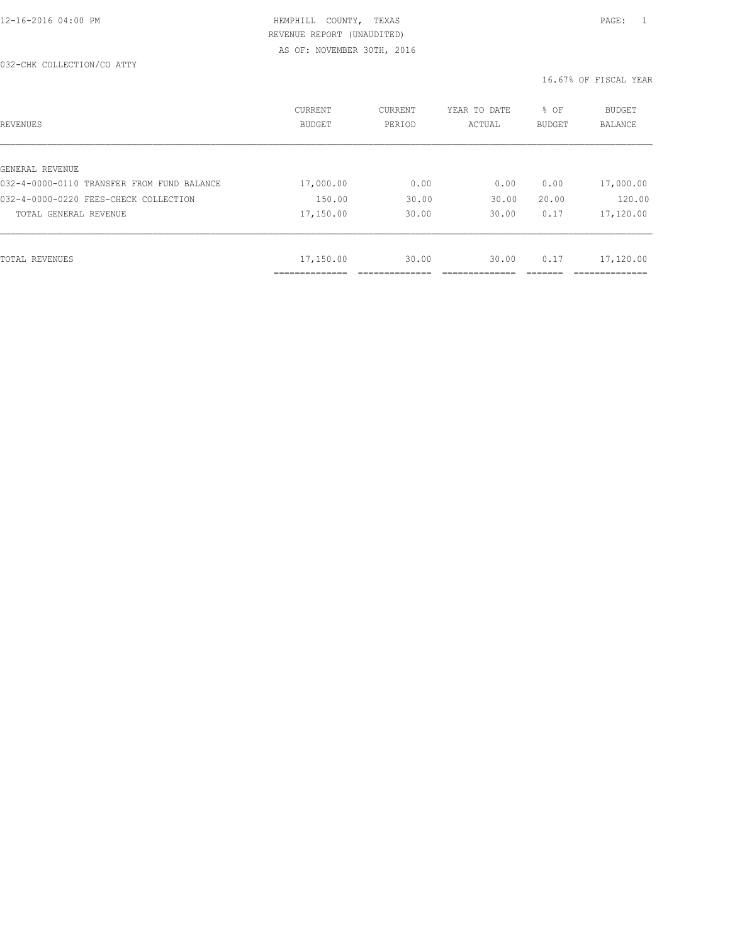#### 032-CHK COLLECTION/CO ATTY

| REVENUES                                   | <b>CURRENT</b><br><b>BUDGET</b> | CURRENT<br>PERIOD | YEAR TO DATE<br>ACTUAL | % OF<br><b>BUDGET</b> | <b>BUDGET</b><br>BALANCE |
|--------------------------------------------|---------------------------------|-------------------|------------------------|-----------------------|--------------------------|
|                                            |                                 |                   |                        |                       |                          |
| GENERAL REVENUE                            |                                 |                   |                        |                       |                          |
| 032-4-0000-0110 TRANSFER FROM FUND BALANCE | 17,000.00                       | 0.00              | 0.00                   | 0.00                  | 17,000.00                |
| 032-4-0000-0220 FEES-CHECK COLLECTION      | 150.00                          | 30.00             | 30.00                  | 20.00                 | 120.00                   |
| TOTAL GENERAL REVENUE                      | 17,150.00                       | 30.00             | 30.00                  | 0.17                  | 17,120.00                |
|                                            |                                 |                   |                        |                       |                          |
| TOTAL REVENUES                             | 17,150.00                       | 30.00             | 30.00                  | 0.17                  | 17,120.00                |
|                                            | ------------                    |                   |                        |                       | ___________              |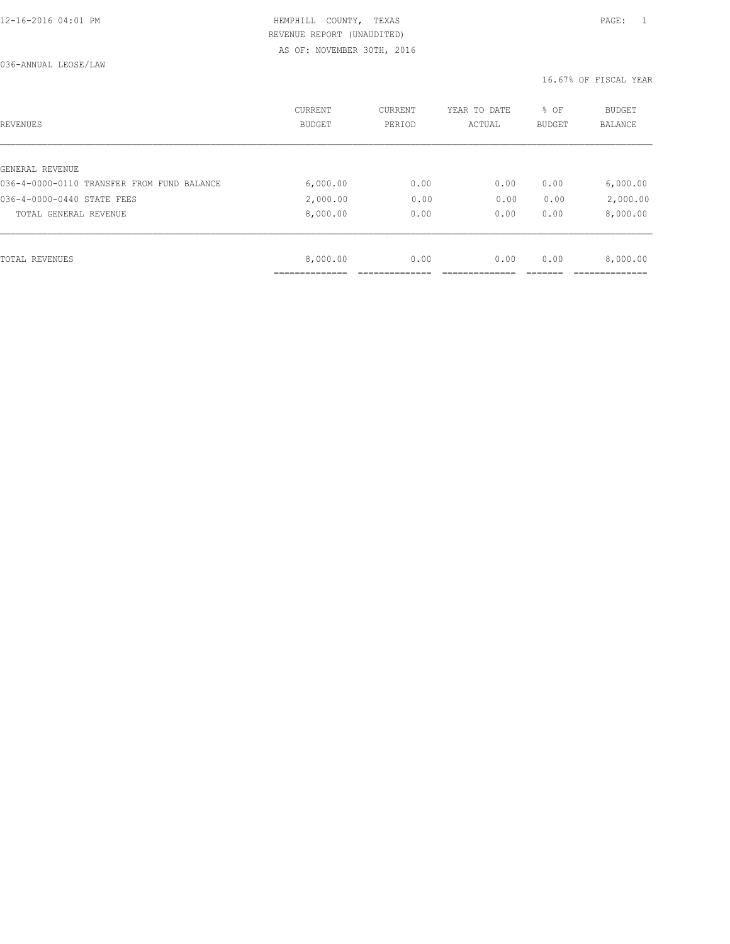036-ANNUAL LEOSE/LAW

| REVENUES                                   | <b>CURRENT</b><br><b>BUDGET</b> | CURRENT<br>PERIOD | YEAR TO DATE<br>ACTUAL | % OF<br>BUDGET | BUDGET<br><b>BALANCE</b> |
|--------------------------------------------|---------------------------------|-------------------|------------------------|----------------|--------------------------|
|                                            |                                 |                   |                        |                |                          |
| GENERAL REVENUE                            |                                 |                   |                        |                |                          |
| 036-4-0000-0110 TRANSFER FROM FUND BALANCE | 6,000.00                        | 0.00              | 0.00                   | 0.00           | 6,000.00                 |
| 036-4-0000-0440 STATE FEES                 | 2,000.00                        | 0.00              | 0.00                   | 0.00           | 2,000.00                 |
| TOTAL GENERAL REVENUE                      | 8,000.00                        | 0.00              | 0.00                   | 0.00           | 8,000.00                 |
|                                            |                                 |                   |                        |                |                          |
| TOTAL REVENUES                             | 8,000.00                        | 0.00              | 0.00                   | 0.00           | 8,000.00                 |
|                                            |                                 |                   |                        |                |                          |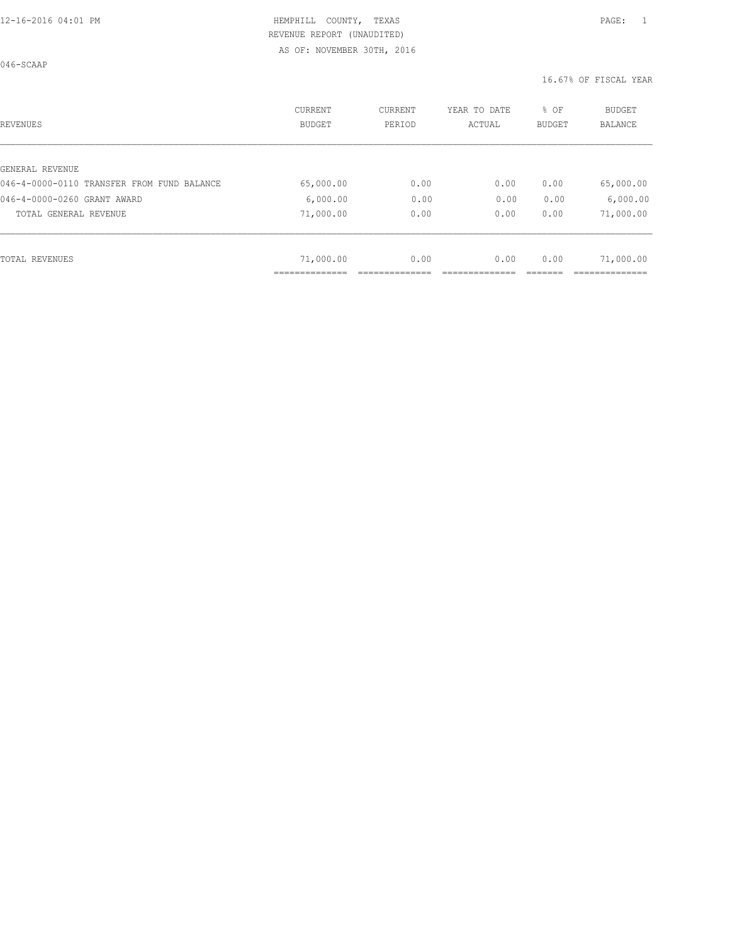046-SCAAP

| REVENUES                                   | <b>CURRENT</b><br><b>BUDGET</b> | CURRENT<br>PERIOD | YEAR TO DATE<br>ACTUAL | % OF<br><b>BUDGET</b> | <b>BUDGET</b><br>BALANCE |
|--------------------------------------------|---------------------------------|-------------------|------------------------|-----------------------|--------------------------|
|                                            |                                 |                   |                        |                       |                          |
| GENERAL REVENUE                            |                                 |                   |                        |                       |                          |
| 046-4-0000-0110 TRANSFER FROM FUND BALANCE | 65,000.00                       | 0.00              | 0.00                   | 0.00                  | 65,000.00                |
| 046-4-0000-0260 GRANT AWARD                | 6,000.00                        | 0.00              | 0.00                   | 0.00                  | 6,000.00                 |
| TOTAL GENERAL REVENUE                      | 71,000.00                       | 0.00              | 0.00                   | 0.00                  | 71,000.00                |
|                                            |                                 |                   |                        |                       |                          |
| TOTAL REVENUES                             | 71,000.00                       | 0.00              | 0.00                   | 0.00                  | 71,000.00                |
|                                            |                                 |                   |                        |                       |                          |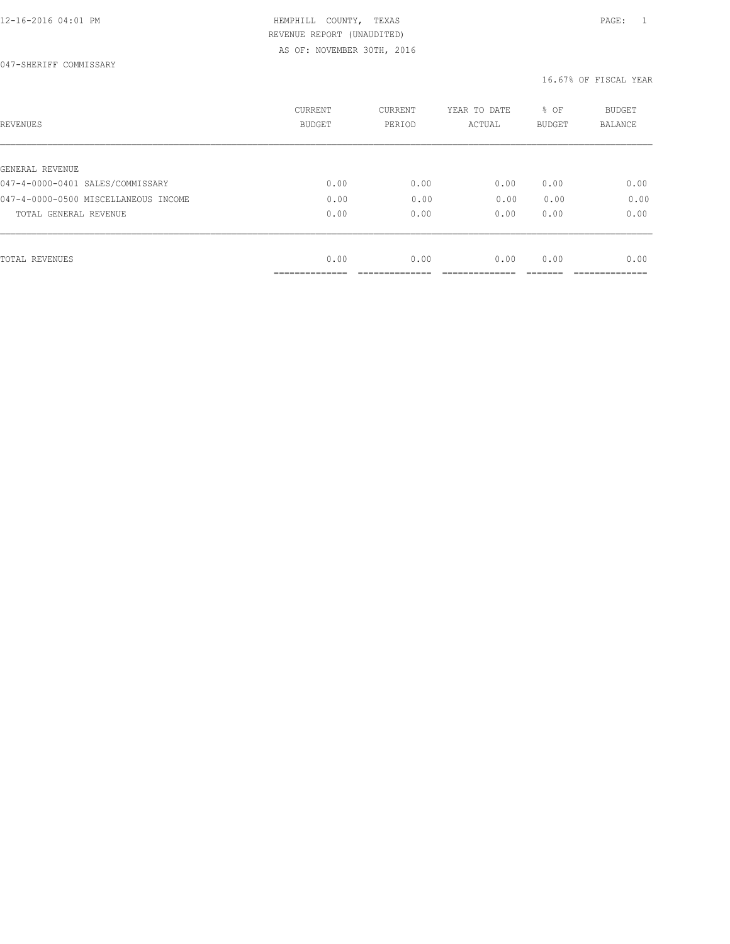047-SHERIFF COMMISSARY

| REVENUES                             | <b>CURRENT</b><br><b>BUDGET</b> | CURRENT<br>PERIOD | YEAR TO DATE<br>ACTUAL | % OF<br>BUDGET | BUDGET<br><b>BALANCE</b> |
|--------------------------------------|---------------------------------|-------------------|------------------------|----------------|--------------------------|
|                                      |                                 |                   |                        |                |                          |
| GENERAL REVENUE                      |                                 |                   |                        |                |                          |
| 047-4-0000-0401 SALES/COMMISSARY     | 0.00                            | 0.00              | 0.00                   | 0.00           | 0.00                     |
| 047-4-0000-0500 MISCELLANEOUS INCOME | 0.00                            | 0.00              | 0.00                   | 0.00           | 0.00                     |
| TOTAL GENERAL REVENUE                | 0.00                            | 0.00              | 0.00                   | 0.00           | 0.00                     |
|                                      |                                 |                   |                        |                |                          |
| TOTAL REVENUES                       | 0.00                            | 0.00              | 0.00                   | 0.00           | 0.00                     |
|                                      | __________                      |                   |                        |                |                          |